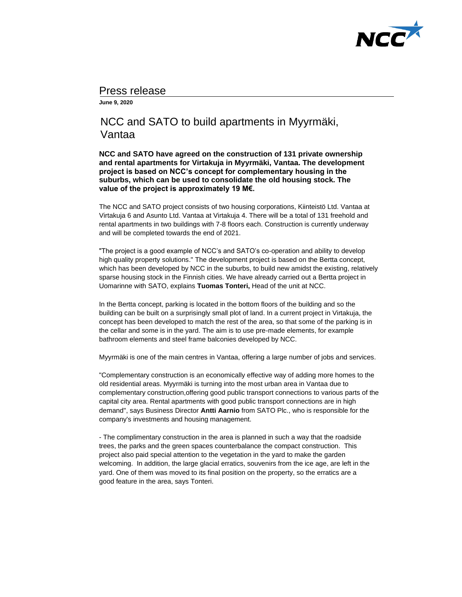

## Press release

**June 9, 2020** 

## NCC and SATO to build apartments in Myyrmäki, Vantaa

**NCC and SATO have agreed on the construction of 131 private ownership and rental apartments for Virtakuja in Myyrmäki, Vantaa. The development project is based on NCC's concept for complementary housing in the suburbs, which can be used to consolidate the old housing stock. The value of the project is approximately 19 M€.** 

The NCC and SATO project consists of two housing corporations, Kiinteistö Ltd. Vantaa at Virtakuja 6 and Asunto Ltd. Vantaa at Virtakuja 4. There will be a total of 131 freehold and rental apartments in two buildings with 7-8 floors each. Construction is currently underway and will be completed towards the end of 2021.

"The project is a good example of NCC's and SATO's co-operation and ability to develop high quality property solutions." The development project is based on the Bertta concept, which has been developed by NCC in the suburbs, to build new amidst the existing, relatively sparse housing stock in the Finnish cities. We have already carried out a Bertta project in Uomarinne with SATO, explains **Tuomas Tonteri,** Head of the unit at NCC.

In the Bertta concept, parking is located in the bottom floors of the building and so the building can be built on a surprisingly small plot of land. In a current project in Virtakuja, the concept has been developed to match the rest of the area, so that some of the parking is in the cellar and some is in the yard. The aim is to use pre-made elements, for example bathroom elements and steel frame balconies developed by NCC.

Myyrmäki is one of the main centres in Vantaa, offering a large number of jobs and services.

"Complementary construction is an economically effective way of adding more homes to the old residential areas. Myyrmäki is turning into the most urban area in Vantaa due to complementary construction,offering good public transport connections to various parts of the capital city area. Rental apartments with good public transport connections are in high demand", says Business Director **Antti Aarnio** from SATO Plc., who is responsible for the company's investments and housing management.

- The complimentary construction in the area is planned in such a way that the roadside trees, the parks and the green spaces counterbalance the compact construction. This project also paid special attention to the vegetation in the yard to make the garden welcoming. In addition, the large glacial erratics, souvenirs from the ice age, are left in the yard. One of them was moved to its final position on the property, so the erratics are a good feature in the area, says Tonteri.